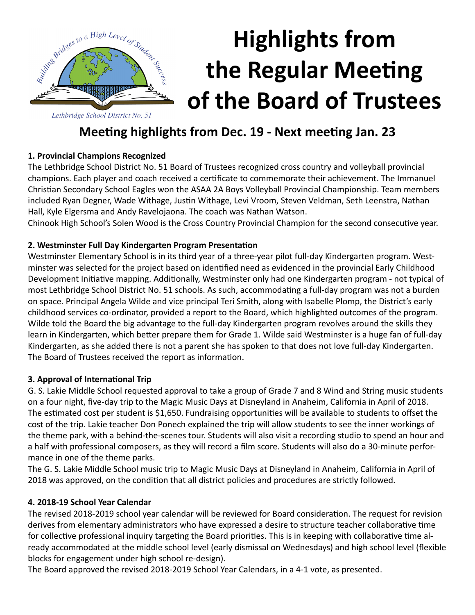

# **Highlights from the Regular Meeting of the Board of Trustees**

# **Meeting highlights from Dec. 19 - Next meeting Jan. 23**

# **1. Provincial Champions Recognized**

The Lethbridge School District No. 51 Board of Trustees recognized cross country and volleyball provincial champions. Each player and coach received a certificate to commemorate their achievement. The Immanuel Christian Secondary School Eagles won the ASAA 2A Boys Volleyball Provincial Championship. Team members included Ryan Degner, Wade Withage, Justin Withage, Levi Vroom, Steven Veldman, Seth Leenstra, Nathan Hall, Kyle Elgersma and Andy Ravelojaona. The coach was Nathan Watson.

Chinook High School's Solen Wood is the Cross Country Provincial Champion for the second consecutive year.

# **2. Westminster Full Day Kindergarten Program Presentation**

Westminster Elementary School is in its third year of a three-year pilot full-day Kindergarten program. Westminster was selected for the project based on identified need as evidenced in the provincial Early Childhood Development Initiative mapping. Additionally, Westminster only had one Kindergarten program - not typical of most Lethbridge School District No. 51 schools. As such, accommodating a full-day program was not a burden on space. Principal Angela Wilde and vice principal Teri Smith, along with Isabelle Plomp, the District's early childhood services co-ordinator, provided a report to the Board, which highlighted outcomes of the program. Wilde told the Board the big advantage to the full-day Kindergarten program revolves around the skills they learn in Kindergarten, which better prepare them for Grade 1. Wilde said Westminster is a huge fan of full-day Kindergarten, as she added there is not a parent she has spoken to that does not love full-day Kindergarten. The Board of Trustees received the report as information.

# **3. Approval of International Trip**

G. S. Lakie Middle School requested approval to take a group of Grade 7 and 8 Wind and String music students on a four night, five-day trip to the Magic Music Days at Disneyland in Anaheim, California in April of 2018. The estimated cost per student is \$1,650. Fundraising opportunities will be available to students to offset the cost of the trip. Lakie teacher Don Ponech explained the trip will allow students to see the inner workings of the theme park, with a behind-the-scenes tour. Students will also visit a recording studio to spend an hour and a half with professional composers, as they will record a film score. Students will also do a 30-minute performance in one of the theme parks.

The G. S. Lakie Middle School music trip to Magic Music Days at Disneyland in Anaheim, California in April of 2018 was approved, on the condition that all district policies and procedures are strictly followed.

# **4. 2018-19 School Year Calendar**

The revised 2018-2019 school year calendar will be reviewed for Board consideration. The request for revision derives from elementary administrators who have expressed a desire to structure teacher collaborative time for collective professional inquiry targeting the Board priorities. This is in keeping with collaborative time already accommodated at the middle school level (early dismissal on Wednesdays) and high school level (flexible blocks for engagement under high school re-design).

The Board approved the revised 2018-2019 School Year Calendars, in a 4-1 vote, as presented.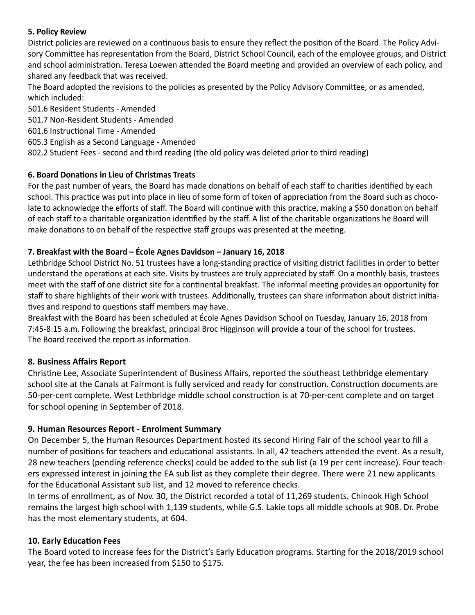#### **5. Policy Review**

District policies are reviewed on a continuous basis to ensure they reflect the position of the Board. The Policy Advisory Committee has representation from the Board, District School Council, each of the employee groups, and District and school administration. Teresa Loewen attended the Board meeting and provided an overview of each policy, and shared any feedback that was received.

The Board adopted the revisions to the policies as presented by the Policy Advisory Committee, or as amended, which included:

501.6 Resident Students - Amended

501.7 Non-Resident Students - Amended

#### 601.6 Instructional Time - Amended

605.3 English as a Second Language - Amended

802.2 Student Fees - second and third reading (the old policy was deleted prior to third reading)

#### **6. Board Donations in Lieu of Christmas Treats**

For the past number of years, the Board has made donations on behalf of each staff to charities identified by each school. This practice was put into place in lieu of some form of token of appreciation from the Board such as chocolate to acknowledge the efforts of staff. The Board will continue with this practice, making a \$50 donation on behalf of each staff to a charitable organization identified by the staff. A list of the charitable organizations he Board will make donations to on behalf of the respective staff groups was presented at the meeting.

#### **7. Breakfast with the Board – École Agnes Davidson – January 16, 2018**

Lethbridge School District No. 51 trustees have a long-standing practice of visiting district facilities in order to better understand the operations at each site. Visits by trustees are truly appreciated by staff. On a monthly basis, trustees meet with the staff of one district site for a continental breakfast. The informal meeting provides an opportunity for staff to share highlights of their work with trustees. Additionally, trustees can share information about district initiatives and respond to questions staff members may have.

Breakfast with the Board has been scheduled at École Agnes Davidson School on Tuesday, January 16, 2018 from 7:45-8:15 a.m. Following the breakfast, principal Broc Higginson will provide a tour of the school for trustees. The Board received the report as information.

#### **8. Business Affairs Report**

Christine Lee, Associate Superintendent of Business Affairs, reported the southeast Lethbridge elementary school site at the Canals at Fairmont is fully serviced and ready for construction. Construction documents are 50-per-cent complete. West Lethbridge middle school construction is at 70-per-cent complete and on target for school opening in September of 2018.

#### **9. Human Resources Report - Enrolment Summary**

On December 5, the Human Resources Department hosted its second Hiring Fair of the school year to fill a number of positions for teachers and educational assistants. In all, 42 teachers attended the event. As a result, 28 new teachers (pending reference checks) could be added to the sub list (a 19 per cent increase). Four teachers expressed interest in joining the EA sub list as they complete their degree. There were 21 new applicants for the Educational Assistant sub list, and 12 moved to reference checks.

In terms of enrollment, as of Nov. 30, the District recorded a total of 11,269 students. Chinook High School remains the largest high school with 1,139 students, while G.S. Lakie tops all middle schools at 908. Dr. Probe has the most elementary students, at 604.

#### **10. Early Education Fees**

The Board voted to increase fees for the District's Early Education programs. Starting for the 2018/2019 school year, the fee has been increased from \$150 to \$175.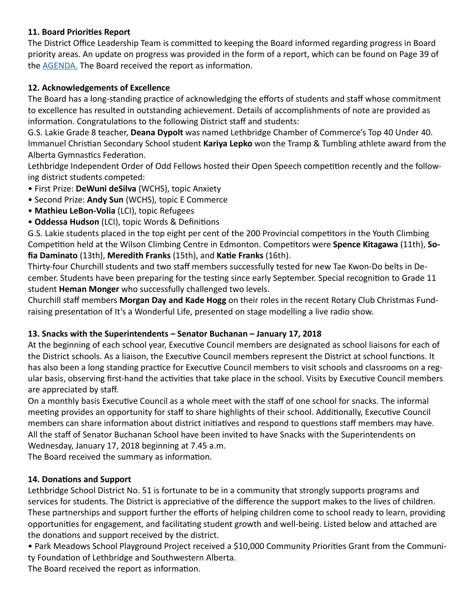# **11. Board Priorities Report**

The District Office Leadership Team is committed to keeping the Board informed regarding progress in Board priority areas. An update on progress was provided in the form of a report, which can be found on Page 39 of the [AGENDA.](http://www.lethsd.ab.ca/documents/general/2017-12-19%20Board%20Meeting%20Agenda.pdf) The Board received the report as information.

# **12. Acknowledgements of Excellence**

The Board has a long-standing practice of acknowledging the efforts of students and staff whose commitment to excellence has resulted in outstanding achievement. Details of accomplishments of note are provided as information. Congratulations to the following District staff and students:

G.S. Lakie Grade 8 teacher, **Deana Dypolt** was named Lethbridge Chamber of Commerce's Top 40 Under 40. Immanuel Christian Secondary School student **Kariya Lepko** won the Tramp & Tumbling athlete award from the Alberta Gymnastics Federation.

Lethbridge Independent Order of Odd Fellows hosted their Open Speech competition recently and the following district students competed:

- First Prize: **DeWuni deSilva** (WCHS), topic Anxiety
- Second Prize: **Andy Sun** (WCHS), topic E Commerce
- **Mathieu LeBon-Volia** (LCI), topic Refugees
- **Oddessa Hudson** (LCI), topic Words & Definitions

G.S. Lakie students placed in the top eight per cent of the 200 Provincial competitors in the Youth Climbing Competition held at the Wilson Climbing Centre in Edmonton. Competitors were **Spence Kitagawa** (11th), **Sofia Daminato** (13th), **Meredith Franks** (15th), and **Katie Franks** (16th).

Thirty-four Churchill students and two staff members successfully tested for new Tae Kwon-Do belts in December. Students have been preparing for the testing since early September. Special recognition to Grade 11 student **Heman Monger** who successfully challenged two levels.

Churchill staff members **Morgan Day and Kade Hogg** on their roles in the recent Rotary Club Christmas Fundraising presentation of It's a Wonderful Life, presented on stage modelling a live radio show.

# **13. Snacks with the Superintendents – Senator Buchanan – January 17, 2018**

At the beginning of each school year, Executive Council members are designated as school liaisons for each of the District schools. As a liaison, the Executive Council members represent the District at school functions. It has also been a long standing practice for Executive Council members to visit schools and classrooms on a regular basis, observing first-hand the activities that take place in the school. Visits by Executive Council members are appreciated by staff.

On a monthly basis Executive Council as a whole meet with the staff of one school for snacks. The informal meeting provides an opportunity for staff to share highlights of their school. Additionally, Executive Council members can share information about district initiatives and respond to questions staff members may have. All the staff of Senator Buchanan School have been invited to have Snacks with the Superintendents on Wednesday, January 17, 2018 beginning at 7.45 a.m.

The Board received the summary as information.

# **14. Donations and Support**

Lethbridge School District No. 51 is fortunate to be in a community that strongly supports programs and services for students. The District is appreciative of the difference the support makes to the lives of children. These partnerships and support further the efforts of helping children come to school ready to learn, providing opportunities for engagement, and facilitating student growth and well-being. Listed below and attached are the donations and support received by the district.

• Park Meadows School Playground Project received a \$10,000 Community Priorities Grant from the Community Foundation of Lethbridge and Southwestern Alberta.

The Board received the report as information.